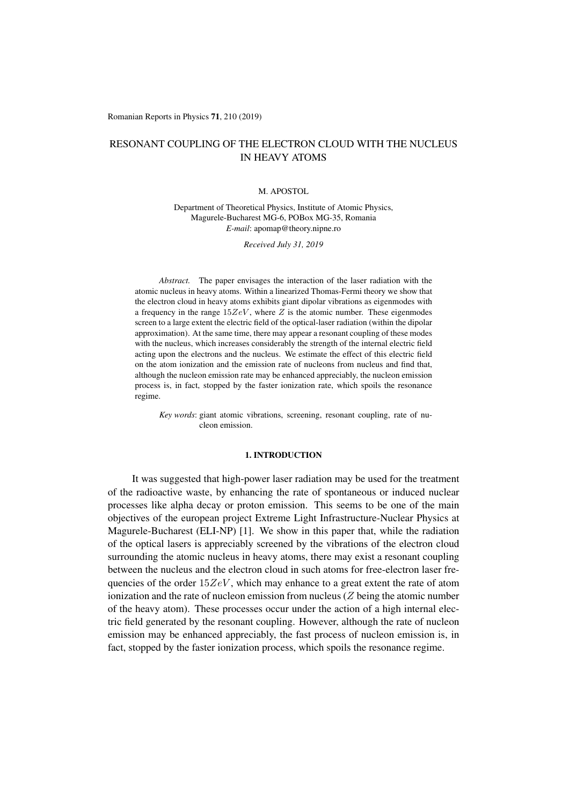Romanian Reports in Physics 71, 210 (2019)

# RESONANT COUPLING OF THE ELECTRON CLOUD WITH THE NUCLEUS IN HEAVY ATOMS

#### M. APOSTOL

Department of Theoretical Physics, Institute of Atomic Physics, Magurele-Bucharest MG-6, POBox MG-35, Romania *E-mail*: apomap@theory.nipne.ro

*Received July 31, 2019*

*Abstract.* The paper envisages the interaction of the laser radiation with the atomic nucleus in heavy atoms. Within a linearized Thomas-Fermi theory we show that the electron cloud in heavy atoms exhibits giant dipolar vibrations as eigenmodes with a frequency in the range  $15ZeV$ , where  $Z$  is the atomic number. These eigenmodes screen to a large extent the electric field of the optical-laser radiation (within the dipolar approximation). At the same time, there may appear a resonant coupling of these modes with the nucleus, which increases considerably the strength of the internal electric field acting upon the electrons and the nucleus. We estimate the effect of this electric field on the atom ionization and the emission rate of nucleons from nucleus and find that, although the nucleon emission rate may be enhanced appreciably, the nucleon emission process is, in fact, stopped by the faster ionization rate, which spoils the resonance regime.

*Key words*: giant atomic vibrations, screening, resonant coupling, rate of nucleon emission.

## 1. INTRODUCTION

It was suggested that high-power laser radiation may be used for the treatment of the radioactive waste, by enhancing the rate of spontaneous or induced nuclear processes like alpha decay or proton emission. This seems to be one of the main objectives of the european project Extreme Light Infrastructure-Nuclear Physics at Magurele-Bucharest (ELI-NP) [1]. We show in this paper that, while the radiation of the optical lasers is appreciably screened by the vibrations of the electron cloud surrounding the atomic nucleus in heavy atoms, there may exist a resonant coupling between the nucleus and the electron cloud in such atoms for free-electron laser frequencies of the order  $15ZeV$ , which may enhance to a great extent the rate of atom ionization and the rate of nucleon emission from nucleus (*Z* being the atomic number of the heavy atom). These processes occur under the action of a high internal electric field generated by the resonant coupling. However, although the rate of nucleon emission may be enhanced appreciably, the fast process of nucleon emission is, in fact, stopped by the faster ionization process, which spoils the resonance regime.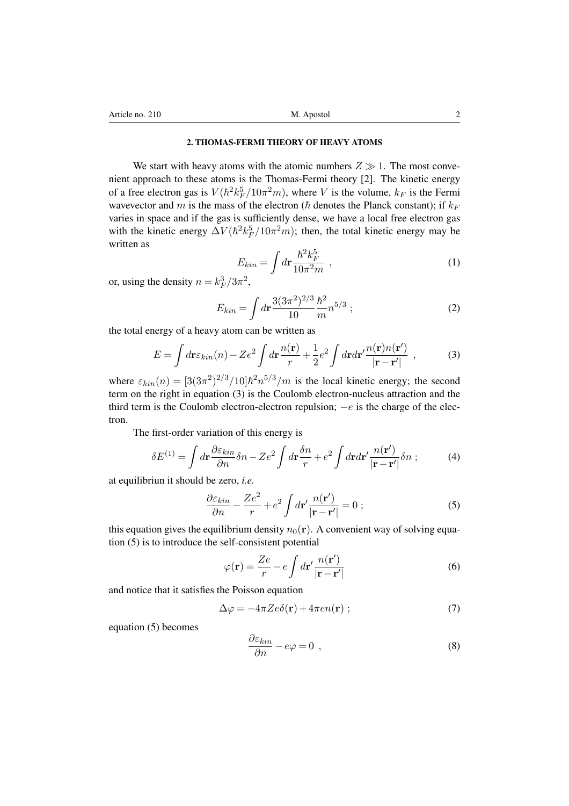## 2. THOMAS-FERMI THEORY OF HEAVY ATOMS

We start with heavy atoms with the atomic numbers  $Z \gg 1$ . The most convenient approach to these atoms is the Thomas-Fermi theory [2]. The kinetic energy of a free electron gas is  $V(\hbar^2 k_F^5/10\pi^2 m)$ , where *V* is the volume,  $k_F$  is the Fermi wavevector and *m* is the mass of the electron ( $\hbar$  denotes the Planck constant); if  $k_F$ varies in space and if the gas is sufficiently dense, we have a local free electron gas with the kinetic energy  $\Delta V(\hbar^2 k_F^5/10\pi^2 m)$ ; then, the total kinetic energy may be written as

$$
E_{kin} = \int d\mathbf{r} \frac{\hbar^2 k_F^5}{10\pi^2 m} , \qquad (1)
$$

or, using the density  $n = k_F^3/3\pi^2$ ,

$$
E_{kin} = \int d\mathbf{r} \frac{3(3\pi^2)^{2/3}}{10} \frac{\hbar^2}{m} n^{5/3} ; \qquad (2)
$$

the total energy of a heavy atom can be written as

$$
E = \int d\mathbf{r} \varepsilon_{kin}(n) - Ze^2 \int d\mathbf{r} \frac{n(\mathbf{r})}{r} + \frac{1}{2} e^2 \int d\mathbf{r} d\mathbf{r}' \frac{n(\mathbf{r})n(\mathbf{r}')}{|\mathbf{r} - \mathbf{r}'|}, \qquad (3)
$$

where  $\varepsilon_{kin}(n) = [3(3\pi^2)^{2/3}/10]\hbar^2 n^{5/3}/m$  is the local kinetic energy; the second term on the right in equation (3) is the Coulomb electron-nucleus attraction and the third term is the Coulomb electron-electron repulsion;  $-e$  is the charge of the electron.

The first-order variation of this energy is

$$
\delta E^{(1)} = \int d\mathbf{r} \frac{\partial \varepsilon_{kin}}{\partial n} \delta n - Ze^2 \int d\mathbf{r} \frac{\delta n}{r} + e^2 \int d\mathbf{r} d\mathbf{r}' \frac{n(\mathbf{r}')}{|\mathbf{r} - \mathbf{r}'|} \delta n ; \tag{4}
$$

at equilibriun it should be zero, *i.e.*

$$
\frac{\partial \varepsilon_{kin}}{\partial n} - \frac{Ze^2}{r} + e^2 \int d\mathbf{r}' \frac{n(\mathbf{r}')}{|\mathbf{r} - \mathbf{r}'|} = 0 ; \qquad (5)
$$

this equation gives the equilibrium density  $n_0(\mathbf{r})$ . A convenient way of solving equation (5) is to introduce the self-consistent potential

$$
\varphi(\mathbf{r}) = \frac{Ze}{r} - e \int d\mathbf{r}' \frac{n(\mathbf{r}')}{|\mathbf{r} - \mathbf{r}'|}
$$
(6)

and notice that it satisfies the Poisson equation

$$
\Delta \varphi = -4\pi Z e \delta(\mathbf{r}) + 4\pi e n(\mathbf{r}) ; \qquad (7)
$$

equation (5) becomes

$$
\frac{\partial \varepsilon_{kin}}{\partial n} - e\varphi = 0 \tag{8}
$$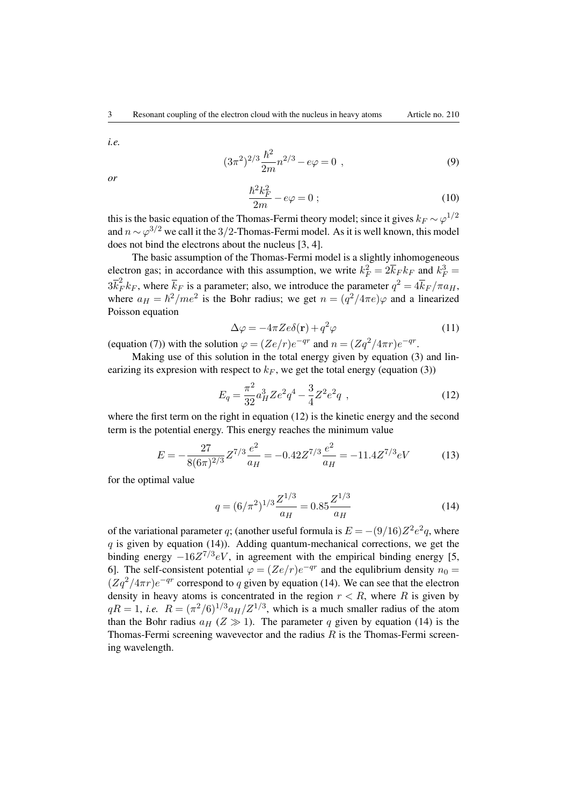*i.e.*

$$
(3\pi^2)^{2/3}\frac{\hbar^2}{2m}n^{2/3} - e\varphi = 0 , \qquad (9)
$$

*or*

$$
\frac{\hbar^2 k_F^2}{2m} - e\varphi = 0 \tag{10}
$$

this is the basic equation of the Thomas-Fermi theory model; since it gives  $k_F \sim \varphi^{1/2}$ and  $n \sim \varphi^{3/2}$  we call it the 3/2-Thomas-Fermi model. As it is well known, this model does not bind the electrons about the nucleus [3, 4].

The basic assumption of the Thomas-Fermi model is a slightly inhomogeneous electron gas; in accordance with this assumption, we write  $k_F^2 = 2\overline{k}_F k_F$  and  $k_F^3 =$  $3\bar{k}_F^2 k_F$ , where  $\bar{k}_F$  is a parameter; also, we introduce the parameter  $q^2 = 4\bar{k}_F/\pi a_H$ , where  $a_H = \hbar^2/m e^2$  is the Bohr radius; we get  $n = (q^2/4\pi e)\varphi$  and a linearized Poisson equation

$$
\Delta \varphi = -4\pi Z e \delta(\mathbf{r}) + q^2 \varphi \tag{11}
$$

(equation (7)) with the solution  $\varphi = (Ze/r)e^{-qr}$  and  $n = (Zq^2/4\pi r)e^{-qr}$ .

Making use of this solution in the total energy given by equation (3) and linearizing its expresion with respect to  $k_F$ , we get the total energy (equation (3))

$$
E_q = \frac{\pi^2}{32} a_H^3 Z e^2 q^4 - \frac{3}{4} Z^2 e^2 q \tag{12}
$$

where the first term on the right in equation  $(12)$  is the kinetic energy and the second term is the potential energy. This energy reaches the minimum value

$$
E = -\frac{27}{8(6\pi)^{2/3}} Z^{7/3} \frac{e^2}{a_H} = -0.42 Z^{7/3} \frac{e^2}{a_H} = -11.4 Z^{7/3} eV \tag{13}
$$

for the optimal value

$$
q = (6/\pi^2)^{1/3} \frac{Z^{1/3}}{a_H} = 0.85 \frac{Z^{1/3}}{a_H}
$$
 (14)

of the variational parameter *q*; (another useful formula is  $E = -(9/16)Z^2e^2q$ , where *q* is given by equation (14)). Adding quantum-mechanical corrections, we get the binding energy  $-16Z^{7/3}eV$ , in agreement with the empirical binding energy [5, 6]. The self-consistent potential  $\varphi = (Ze/r)e^{-qr}$  and the equilibrium density  $n_0 =$  $(Zq^2/4\pi r)e^{-qr}$  correspond to *q* given by equation (14). We can see that the electron density in heavy atoms is concentrated in the region  $r < R$ , where R is given by  $qR = 1$ , *i.e.*  $R = (\pi^2/6)^{1/3} a_H/Z^{1/3}$ , which is a much smaller radius of the atom than the Bohr radius  $a_H$  ( $Z \gg 1$ ). The parameter q given by equation (14) is the Thomas-Fermi screening wavevector and the radius *R* is the Thomas-Fermi screening wavelength.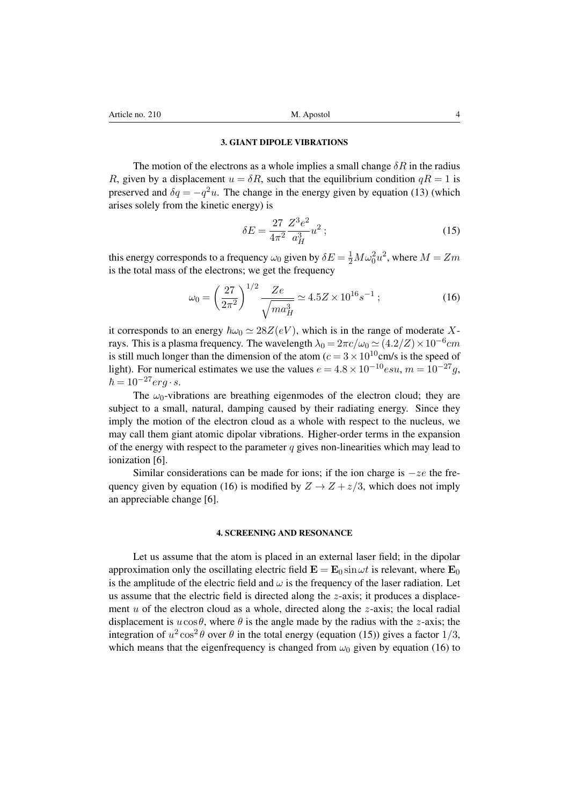#### 3. GIANT DIPOLE VIBRATIONS

The motion of the electrons as a whole implies a small change  $\delta R$  in the radius *R*, given by a displacement  $u = \delta R$ , such that the equilibrium condition  $qR = 1$  is preserved and  $\delta q = -q^2 u$ . The change in the energy given by equation (13) (which arises solely from the kinetic energy) is

$$
\delta E = \frac{27}{4\pi^2} \frac{Z^3 e^2}{a_H^3} u^2 ; \tag{15}
$$

this energy corresponds to a frequency  $\omega_0$  given by  $\delta E = \frac{1}{2}M\omega_0^2 u^2$ , where  $M = Zm$ is the total mass of the electrons; we get the frequency

$$
\omega_0 = \left(\frac{27}{2\pi^2}\right)^{1/2} \frac{Ze}{\sqrt{ma_H^3}} \simeq 4.5Z \times 10^{16} s^{-1} \; ; \tag{16}
$$

it corresponds to an energy  $\hbar \omega_0 \simeq 28Z(eV)$ , which is in the range of moderate Xrays. This is a plasma frequency. The wavelength  $\lambda_0 = 2\pi c/\omega_0 \simeq (4.2/Z) \times 10^{-6}$  *cm* is still much longer than the dimension of the atom  $(c = 3 \times 10^{10} \text{cm/s}$  is the speed of light). For numerical estimates we use the values  $e = 4.8 \times 10^{-10}$ esu,  $m = 10^{-27}$ q,  $\hbar = 10^{-27} erg \cdot s.$ 

The  $\omega_0$ -vibrations are breathing eigenmodes of the electron cloud; they are subject to a small, natural, damping caused by their radiating energy. Since they imply the motion of the electron cloud as a whole with respect to the nucleus, we may call them giant atomic dipolar vibrations. Higher-order terms in the expansion of the energy with respect to the parameter *q* gives non-linearities which may lead to ionization [6].

Similar considerations can be made for ions; if the ion charge is  $-ze$  the frequency given by equation (16) is modified by  $Z \rightarrow Z + z/3$ , which does not imply an appreciable change [6].

#### 4. SCREENING AND RESONANCE

Let us assume that the atom is placed in an external laser field; in the dipolar approximation only the oscillating electric field  $\mathbf{E} = \mathbf{E}_0 \sin \omega t$  is relevant, where  $\mathbf{E}_0$ is the amplitude of the electric field and  $\omega$  is the frequency of the laser radiation. Let us assume that the electric field is directed along the *z*-axis; it produces a displacement *u* of the electron cloud as a whole, directed along the *z*-axis; the local radial displacement is  $u\cos\theta$ , where  $\theta$  is the angle made by the radius with the *z*-axis; the integration of  $u^2 \cos^2 \theta$  over  $\theta$  in the total energy (equation (15)) gives a factor 1/3, which means that the eigenfrequency is changed from  $\omega_0$  given by equation (16) to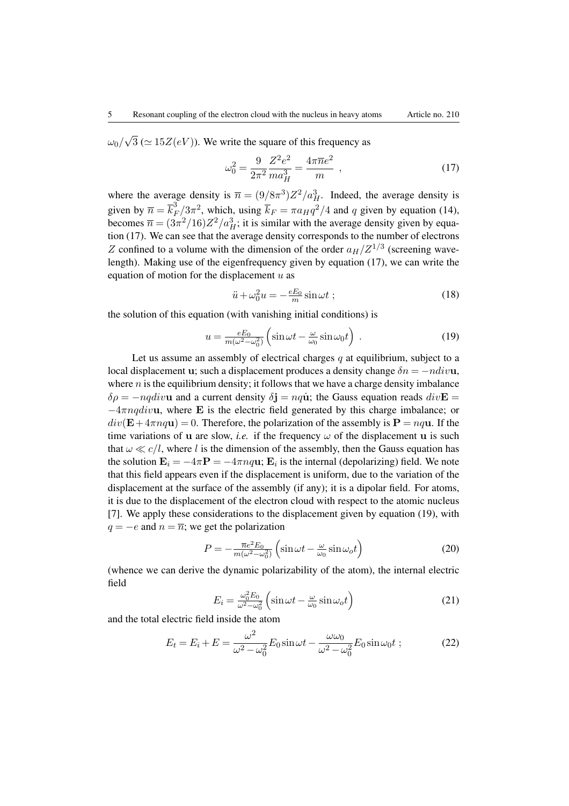$\omega_0/\sqrt{3}$  ( $\simeq 15Z(eV)$ ). We write the square of this frequency as

$$
\omega_0^2 = \frac{9}{2\pi^2} \frac{Z^2 e^2}{m a_H^3} = \frac{4\pi \overline{n} e^2}{m} , \qquad (17)
$$

where the average density is  $\bar{n} = (9/8\pi^3)Z^2/a_H^3$ . Indeed, the average density is given by  $\overline{n} = \overline{k}_F^3/3\pi^2$ , which, using  $\overline{k}_F = \pi a_H q^2/4$  and *q* given by equation (14), becomes  $\bar{n} = (3\pi^2/16)Z^2/a_H^3$ ; it is similar with the average density given by equation (17). We can see that the average density corresponds to the number of electrons *Z* confined to a volume with the dimension of the order  $a_H/Z^{1/3}$  (screening wavelength). Making use of the eigenfrequency given by equation (17), we can write the equation of motion for the displacement *u* as

$$
\ddot{u} + \omega_0^2 u = -\frac{eE_0}{m}\sin\omega t \; ; \tag{18}
$$

the solution of this equation (with vanishing initial conditions) is

$$
u = \frac{eE_0}{m(\omega^2 - \omega_0^2)} \left( \sin \omega t - \frac{\omega}{\omega_0} \sin \omega_0 t \right) . \tag{19}
$$

Let us assume an assembly of electrical charges *q* at equilibrium, subject to a local displacement u; such a displacement produces a density change  $\delta n = -ndiv$ **u**, where  $n$  is the equilibrium density; it follows that we have a charge density imbalance  $\delta \rho = -nqdiv$ **u** and a current density  $\delta \mathbf{i} = nq\dot{\mathbf{u}}$ ; the Gauss equation reads  $div$ **E**  $-4\pi$ *nqdivu*, where **E** is the electric field generated by this charge imbalance; or  $div(\mathbf{E} + 4\pi nq\mathbf{u}) = 0$ . Therefore, the polarization of the assembly is  $\mathbf{P} = nq\mathbf{u}$ . If the time variations of u are slow, *i.e.* if the frequency  $\omega$  of the displacement u is such that  $\omega \ll c/l$ , where *l* is the dimension of the assembly, then the Gauss equation has the solution  $\mathbf{E}_i = -4\pi \mathbf{P} = -4\pi n q \mathbf{u}$ ;  $\mathbf{E}_i$  is the internal (depolarizing) field. We note that this field appears even if the displacement is uniform, due to the variation of the displacement at the surface of the assembly (if any); it is a dipolar field. For atoms, it is due to the displacement of the electron cloud with respect to the atomic nucleus [7]. We apply these considerations to the displacement given by equation (19), with  $q = -e$  and  $n = \overline{n}$ ; we get the polarization

$$
P = -\frac{\overline{n}e^2 E_0}{m(\omega^2 - \omega_0^2)} \left( \sin \omega t - \frac{\omega}{\omega_0} \sin \omega_0 t \right)
$$
 (20)

(whence we can derive the dynamic polarizability of the atom), the internal electric field

$$
E_i = \frac{\omega_0^2 E_0}{\omega^2 - \omega_0^2} \left( \sin \omega t - \frac{\omega}{\omega_0} \sin \omega_0 t \right)
$$
 (21)

and the total electric field inside the atom

$$
E_t = E_i + E = \frac{\omega^2}{\omega^2 - \omega_0^2} E_0 \sin \omega t - \frac{\omega \omega_0}{\omega^2 - \omega_0^2} E_0 \sin \omega_0 t ; \qquad (22)
$$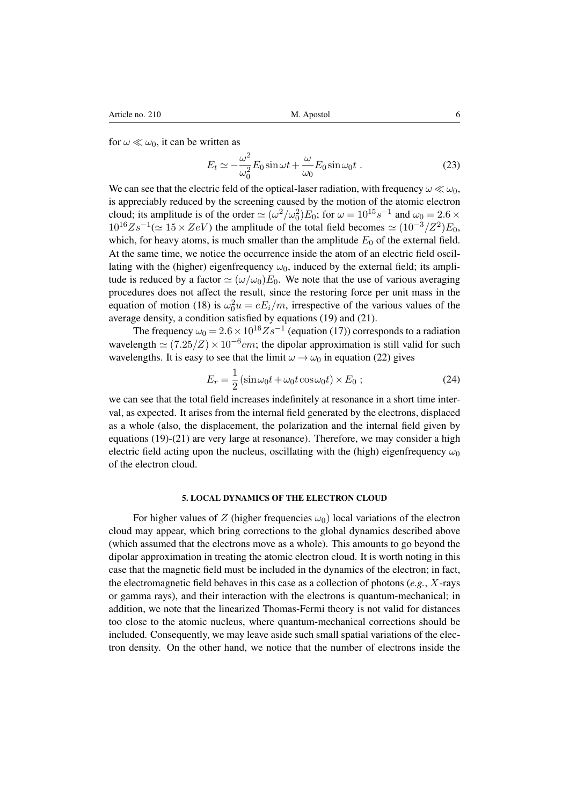for  $\omega \ll \omega_0$ , it can be written as

$$
E_t \simeq -\frac{\omega^2}{\omega_0^2} E_0 \sin \omega t + \frac{\omega}{\omega_0} E_0 \sin \omega_0 t \ . \tag{23}
$$

We can see that the electric feld of the optical-laser radiation, with frequency  $\omega \ll \omega_0$ , is appreciably reduced by the screening caused by the motion of the atomic electron cloud; its amplitude is of the order  $\simeq (\omega^2/\omega_0^2)E_0$ ; for  $\omega = 10^{15}s^{-1}$  and  $\omega_0 = 2.6 \times$  $10^{16}Zs^{-1}$ ( $\simeq 15 \times ZeV$ ) the amplitude of the total field becomes  $\simeq (10^{-3}/Z^2)E_0$ , which, for heavy atoms, is much smaller than the amplitude  $E_0$  of the external field. At the same time, we notice the occurrence inside the atom of an electric field oscillating with the (higher) eigenfrequency  $\omega_0$ , induced by the external field; its amplitude is reduced by a factor  $\simeq (\omega/\omega_0)E_0$ . We note that the use of various averaging procedures does not affect the result, since the restoring force per unit mass in the equation of motion (18) is  $\omega_0^2 u = eE_i/m$ , irrespective of the various values of the average density, a condition satisfied by equations (19) and (21).

The frequency  $\omega_0 = 2.6 \times 10^{16} Z s^{-1}$  (equation (17)) corresponds to a radiation wavelength  $\simeq (7.25/Z) \times 10^{-6}$ cm; the dipolar approximation is still valid for such wavelengths. It is easy to see that the limit  $\omega \to \omega_0$  in equation (22) gives

$$
E_r = \frac{1}{2} \left( \sin \omega_0 t + \omega_0 t \cos \omega_0 t \right) \times E_0 ; \qquad (24)
$$

we can see that the total field increases indefinitely at resonance in a short time interval, as expected. It arises from the internal field generated by the electrons, displaced as a whole (also, the displacement, the polarization and the internal field given by equations (19)-(21) are very large at resonance). Therefore, we may consider a high electric field acting upon the nucleus, oscillating with the (high) eigenfrequency  $\omega_0$ of the electron cloud.

# 5. LOCAL DYNAMICS OF THE ELECTRON CLOUD

For higher values of *Z* (higher frequencies  $\omega_0$ ) local variations of the electron cloud may appear, which bring corrections to the global dynamics described above (which assumed that the electrons move as a whole). This amounts to go beyond the dipolar approximation in treating the atomic electron cloud. It is worth noting in this case that the magnetic field must be included in the dynamics of the electron; in fact, the electromagnetic field behaves in this case as a collection of photons (*e.g.*, *X*-rays or gamma rays), and their interaction with the electrons is quantum-mechanical; in addition, we note that the linearized Thomas-Fermi theory is not valid for distances too close to the atomic nucleus, where quantum-mechanical corrections should be included. Consequently, we may leave aside such small spatial variations of the electron density. On the other hand, we notice that the number of electrons inside the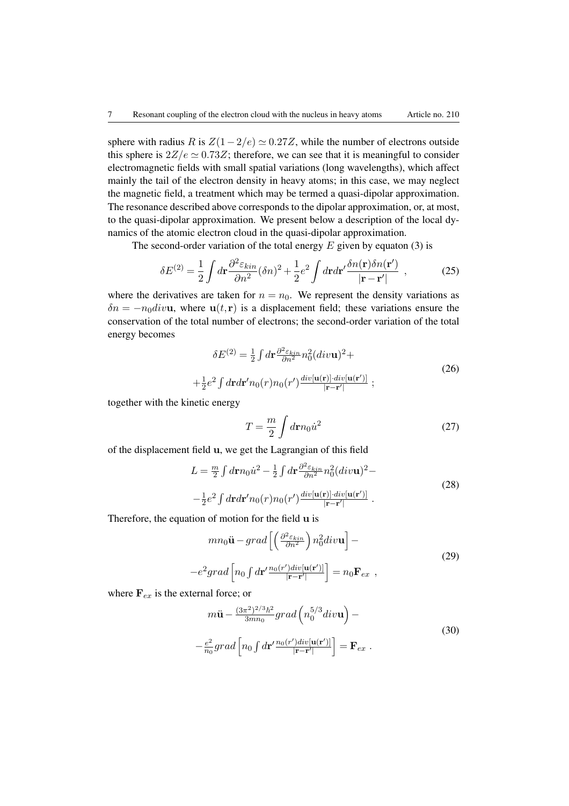sphere with radius *R* is  $Z(1-2/e) \simeq 0.27Z$ , while the number of electrons outside this sphere is  $2Z/e \simeq 0.73Z$ ; therefore, we can see that it is meaningful to consider electromagnetic fields with small spatial variations (long wavelengths), which affect mainly the tail of the electron density in heavy atoms; in this case, we may neglect the magnetic field, a treatment which may be termed a quasi-dipolar approximation. The resonance described above corresponds to the dipolar approximation, or, at most, to the quasi-dipolar approximation. We present below a description of the local dynamics of the atomic electron cloud in the quasi-dipolar approximation.

The second-order variation of the total energy *E* given by equaton (3) is

$$
\delta E^{(2)} = \frac{1}{2} \int d\mathbf{r} \frac{\partial^2 \varepsilon_{kin}}{\partial n^2} (\delta n)^2 + \frac{1}{2} e^2 \int d\mathbf{r} d\mathbf{r}' \frac{\delta n(\mathbf{r}) \delta n(\mathbf{r}')}{|\mathbf{r} - \mathbf{r}'|} , \qquad (25)
$$

where the derivatives are taken for  $n = n_0$ . We represent the density variations as  $\delta n = -n_0div$ **u**, where **u**(*t*,**r**) is a displacement field; these variations ensure the conservation of the total number of electrons; the second-order variation of the total energy becomes

$$
\delta E^{(2)} = \frac{1}{2} \int d\mathbf{r} \frac{\partial^2 \varepsilon_{kin}}{\partial n^2} n_0^2 (div\mathbf{u})^2 +
$$
  
 
$$
+ \frac{1}{2} e^2 \int d\mathbf{r} d\mathbf{r}' n_0(r) n_0(r') \frac{div[\mathbf{u}(\mathbf{r})] \cdot div[\mathbf{u}(\mathbf{r}')]}{|\mathbf{r} - \mathbf{r}'|};
$$
 (26)

together with the kinetic energy

$$
T = \frac{m}{2} \int d\mathbf{r} n_0 \dot{u}^2
$$
 (27)

of the displacement field u, we get the Lagrangian of this field

$$
L = \frac{m}{2} \int d\mathbf{r} n_0 \dot{u}^2 - \frac{1}{2} \int d\mathbf{r} \frac{\partial^2 \varepsilon_{kin}}{\partial n^2} n_0^2 (div \mathbf{u})^2 -
$$
  

$$
-\frac{1}{2} e^2 \int d\mathbf{r} d\mathbf{r}' n_0(r) n_0(r') \frac{div[\mathbf{u}(\mathbf{r})] \cdot div[\mathbf{u}(\mathbf{r}')]}{|\mathbf{r} - \mathbf{r}'|}.
$$
 (28)

Therefore, the equation of motion for the field u is

$$
mn_0 \ddot{\mathbf{u}} - grad \left[ \left( \frac{\partial^2 \varepsilon_{kin}}{\partial n^2} \right) n_0^2 div \mathbf{u} \right] -
$$
  

$$
-e^2 grad \left[ n_0 \int d\mathbf{r}' \frac{n_0(r') div[\mathbf{u}(\mathbf{r}')]}{|\mathbf{r} - \mathbf{r}'|} \right] = n_0 \mathbf{F}_{ex} ,
$$
 (29)

where  $\mathbf{F}_{ex}$  is the external force; or

$$
m\ddot{\mathbf{u}} - \frac{(3\pi^2)^{2/3}\hbar^2}{3mn_0} grad\left(n_0^{5/3}div\mathbf{u}\right) -
$$
  

$$
-\frac{e^2}{n_0} grad\left[n_0 \int d\mathbf{r}' \frac{n_0(r')div[\mathbf{u}(\mathbf{r}')]}{|\mathbf{r} - \mathbf{r}'|}\right] = \mathbf{F}_{ex}.
$$
 (30)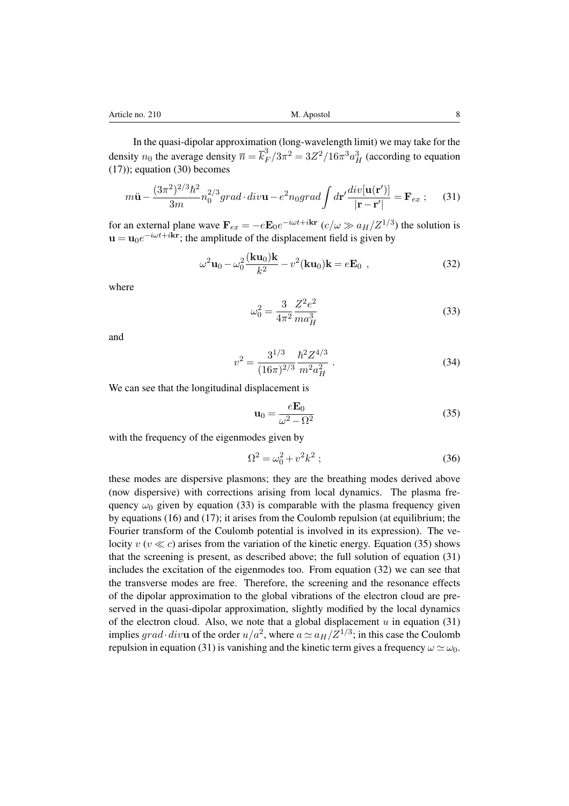In the quasi-dipolar approximation (long-wavelength limit) we may take for the density  $n_0$  the average density  $\overline{n} = \overline{k}_F^3 / 3\pi^2 = 3Z^2 / 16\pi^3 a_H^3$  (according to equation (17)); equation (30) becomes

$$
m\ddot{\mathbf{u}} - \frac{(3\pi^2)^{2/3}\hbar^2}{3m} n_0^{2/3} grad \cdot div \mathbf{u} - e^2 n_0 grad \int d\mathbf{r}' \frac{div[\mathbf{u}(\mathbf{r}')]}{|\mathbf{r} - \mathbf{r}'|} = \mathbf{F}_{ex} \ ; \tag{31}
$$

for an external plane wave  $\mathbf{F}_{ex} = -e\mathbf{E}_0e^{-i\omega t + i\mathbf{kr}}$  ( $c/\omega \gg a_H/Z^{1/3}$ ) the solution is  $u = u_0e^{-i\omega t + i\mathbf{k}\mathbf{r}}$ ; the amplitude of the displacement field is given by

$$
\omega^2 \mathbf{u}_0 - \omega_0^2 \frac{(\mathbf{k} \mathbf{u}_0) \mathbf{k}}{k^2} - v^2 (\mathbf{k} \mathbf{u}_0) \mathbf{k} = e \mathbf{E}_0 ,
$$
 (32)

where

$$
\omega_0^2 = \frac{3}{4\pi^2} \frac{Z^2 e^2}{m a_H^3} \tag{33}
$$

and

$$
v^2 = \frac{3^{1/3}}{(16\pi)^{2/3}} \frac{\hbar^2 Z^{4/3}}{m^2 a_H^2} \,. \tag{34}
$$

We can see that the longitudinal displacement is

$$
\mathbf{u}_0 = \frac{e\mathbf{E}_0}{\omega^2 - \Omega^2} \tag{35}
$$

with the frequency of the eigenmodes given by

$$
\Omega^2 = \omega_0^2 + v^2 k^2 \; ; \tag{36}
$$

these modes are dispersive plasmons; they are the breathing modes derived above (now dispersive) with corrections arising from local dynamics. The plasma frequency  $\omega_0$  given by equation (33) is comparable with the plasma frequency given by equations (16) and (17); it arises from the Coulomb repulsion (at equilibrium; the Fourier transform of the Coulomb potential is involved in its expression). The velocity  $v (v \ll c)$  arises from the variation of the kinetic energy. Equation (35) shows that the screening is present, as described above; the full solution of equation (31) includes the excitation of the eigenmodes too. From equation (32) we can see that the transverse modes are free. Therefore, the screening and the resonance effects of the dipolar approximation to the global vibrations of the electron cloud are preserved in the quasi-dipolar approximation, slightly modified by the local dynamics of the electron cloud. Also, we note that a global displacement  $u$  in equation (31) implies *grad* · *divu* of the order  $u/a^2$ , where  $a \simeq a_H/Z^{1/3}$ ; in this case the Coulomb repulsion in equation (31) is vanishing and the kinetic term gives a frequency  $\omega \simeq \omega_0$ .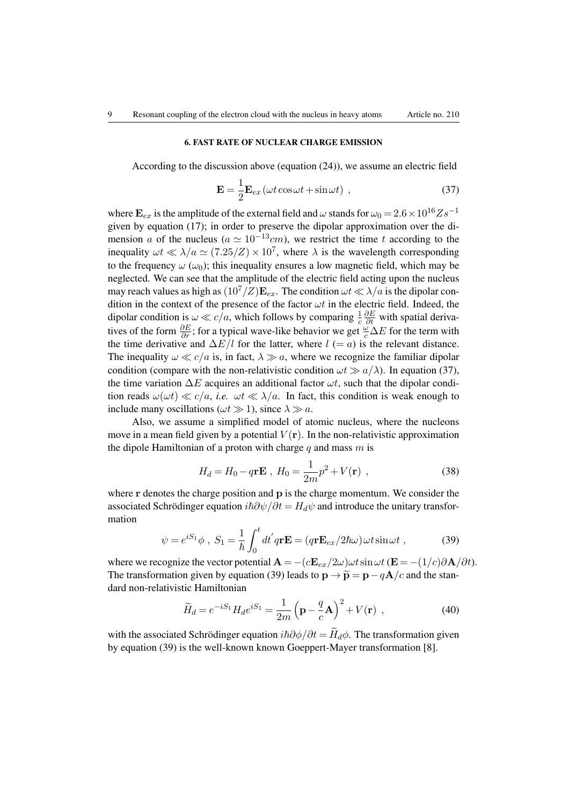## 6. FAST RATE OF NUCLEAR CHARGE EMISSION

According to the discussion above (equation (24)), we assume an electric field

$$
\mathbf{E} = \frac{1}{2} \mathbf{E}_{ex} \left( \omega t \cos \omega t + \sin \omega t \right) , \qquad (37)
$$

where  $\mathbf{E}_{ex}$  is the amplitude of the external field and  $\omega$  stands for  $\omega_0 = 2.6 \times 10^{16} Z s^{-1}$ given by equation (17); in order to preserve the dipolar approximation over the dimension *a* of the nucleus ( $a \approx 10^{-13}$ *cm*), we restrict the time *t* according to the inequality  $\omega t \ll \lambda/a \simeq (7.25/Z) \times 10^7$ , where  $\lambda$  is the wavelength corresponding to the frequency  $\omega$  ( $\omega_0$ ); this inequality ensures a low magnetic field, which may be neglected. We can see that the amplitude of the electric field acting upon the nucleus may reach values as high as  $(10^7/Z)\mathbf{E}_{ex}$ . The condition  $\omega t \ll \lambda/a$  is the dipolar condition in the context of the presence of the factor  $\omega t$  in the electric field. Indeed, the dipolar condition is  $\omega \ll c/a$ , which follows by comparing  $\frac{1}{c}$  $\frac{\partial E}{\partial t}$  with spatial derivatives of the form  $\frac{\partial E}{\partial r}$ ; for a typical wave-like behavior we get  $\frac{\omega}{c} \Delta E$  for the term with the time derivative and  $\Delta E/l$  for the latter, where  $l (= a)$  is the relevant distance. The inequality  $\omega \ll c/a$  is, in fact,  $\lambda \gg a$ , where we recognize the familiar dipolar condition (compare with the non-relativistic condition  $\omega t \gg a/\lambda$ ). In equation (37), the time variation  $\Delta E$  acquires an additional factor  $\omega t$ , such that the dipolar condition reads  $\omega(\omega t) \ll c/a$ , *i.e.*  $\omega t \ll \lambda/a$ . In fact, this condition is weak enough to include many oscillations ( $\omega t \gg 1$ ), since  $\lambda \gg a$ .

Also, we assume a simplified model of atomic nucleus, where the nucleons move in a mean field given by a potential  $V(\bf{r})$ . In the non-relativistic approximation the dipole Hamiltonian of a proton with charge *q* and mass *m* is

$$
H_d = H_0 - q\mathbf{r} \mathbf{E} , H_0 = \frac{1}{2m} p^2 + V(\mathbf{r}) , \qquad (38)
$$

where  $\bf{r}$  denotes the charge position and  $\bf{p}$  is the charge momentum. We consider the associated Schrödinger equation  $i\hbar \partial \psi / \partial t = H_d \psi$  and introduce the unitary transformation

$$
\psi = e^{iS_1} \phi , S_1 = \frac{1}{\hbar} \int_0^t dt' q \mathbf{r} \mathbf{E} = (q \mathbf{r} \mathbf{E}_{ex} / 2\hbar \omega) \omega t \sin \omega t , \qquad (39)
$$

where we recognize the vector potential  $\mathbf{A} = -(c\mathbf{E}_{ex}/2\omega)\omega t \sin \omega t$  ( $\mathbf{E} = -(1/c)\partial \mathbf{A}/\partial t$ ). The transformation given by equation (39) leads to  $\mathbf{p} \rightarrow \tilde{\mathbf{p}} = \mathbf{p} - q\mathbf{A}/c$  and the standard non-relativistic Hamiltonian

$$
\widetilde{H}_d = e^{-iS_1} H_d e^{iS_1} = \frac{1}{2m} \left( \mathbf{p} - \frac{q}{c} \mathbf{A} \right)^2 + V(\mathbf{r}) \tag{40}
$$

with the associated Schrödinger equation  $i\hbar\partial\phi/\partial t = \tilde{H}_d\phi$ . The transformation given by equation (39) is the well-known known Goeppert-Mayer transformation [8].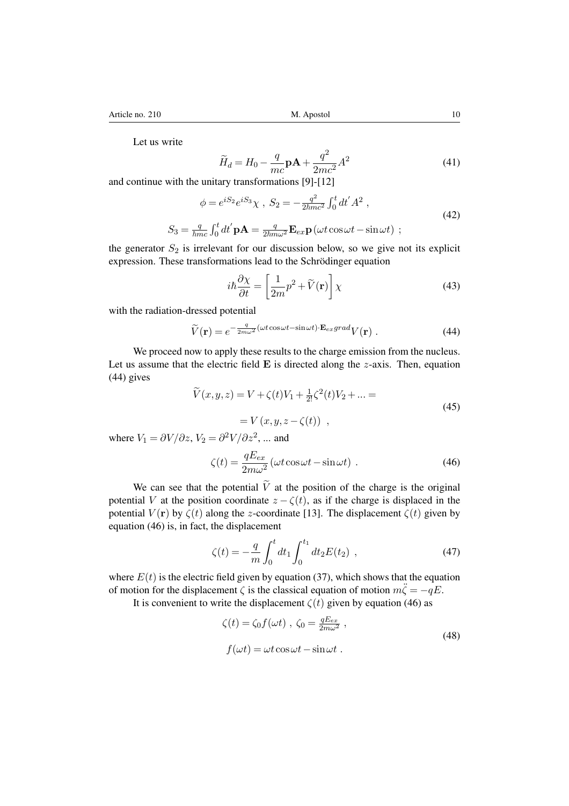Let us write

$$
\widetilde{H}_d = H_0 - \frac{q}{mc} \mathbf{p} \mathbf{A} + \frac{q^2}{2mc^2} A^2
$$
\n(41)

and continue with the unitary transformations [9]-[12]

$$
\phi = e^{iS_2} e^{iS_3} \chi \ , \ S_2 = -\frac{q^2}{2\hbar m c^2} \int_0^t dt' A^2 \ ,
$$
  

$$
S_3 = \frac{q}{\hbar m c} \int_0^t dt' \mathbf{p} \mathbf{A} = \frac{q}{2\hbar m \omega^2} \mathbf{E}_{ex} \mathbf{p} (\omega t \cos \omega t - \sin \omega t) \ ;
$$
 (42)

the generator  $S_2$  is irrelevant for our discussion below, so we give not its explicit expression. These transformations lead to the Schrödinger equation

$$
i\hbar \frac{\partial \chi}{\partial t} = \left[\frac{1}{2m}p^2 + \widetilde{V}(\mathbf{r})\right] \chi \tag{43}
$$

with the radiation-dressed potential

$$
\widetilde{V}(\mathbf{r}) = e^{-\frac{q}{2m\omega^2}(\omega t \cos \omega t - \sin \omega t) \cdot \mathbf{E}_{ex}grad} V(\mathbf{r}) . \tag{44}
$$

We proceed now to apply these results to the charge emission from the nucleus. Let us assume that the electric field E is directed along the *z*-axis. Then, equation (44) gives

$$
\widetilde{V}(x, y, z) = V + \zeta(t)V_1 + \frac{1}{2!}\zeta^2(t)V_2 + \dots =
$$
\n
$$
= V(x, y, z - \zeta(t)),
$$
\n(45)

where  $V_1 = \partial V / \partial z$ ,  $V_2 = \partial^2 V / \partial z^2$ , ... and

$$
\zeta(t) = \frac{qE_{ex}}{2m\omega^2} \left(\omega t \cos \omega t - \sin \omega t\right) \,. \tag{46}
$$

We can see that the potential  $\tilde{V}$  at the position of the charge is the original potential *V* at the position coordinate  $z - \zeta(t)$ , as if the charge is displaced in the potential  $V(\mathbf{r})$  by  $\zeta(t)$  along the *z*-coordinate [13]. The displacement  $\zeta(t)$  given by equation (46) is, in fact, the displacement

$$
\zeta(t) = -\frac{q}{m} \int_0^t dt_1 \int_0^{t_1} dt_2 E(t_2) , \qquad (47)
$$

where  $E(t)$  is the electric field given by equation (37), which shows that the equation of motion for the displacement  $\zeta$  is the classical equation of motion  $m\ddot{\zeta} = -qE$ .

It is convenient to write the displacement  $\zeta(t)$  given by equation (46) as

$$
\zeta(t) = \zeta_0 f(\omega t) , \ \zeta_0 = \frac{qE_{ex}}{2m\omega^2} ,
$$
  

$$
f(\omega t) = \omega t \cos \omega t - \sin \omega t .
$$
 (48)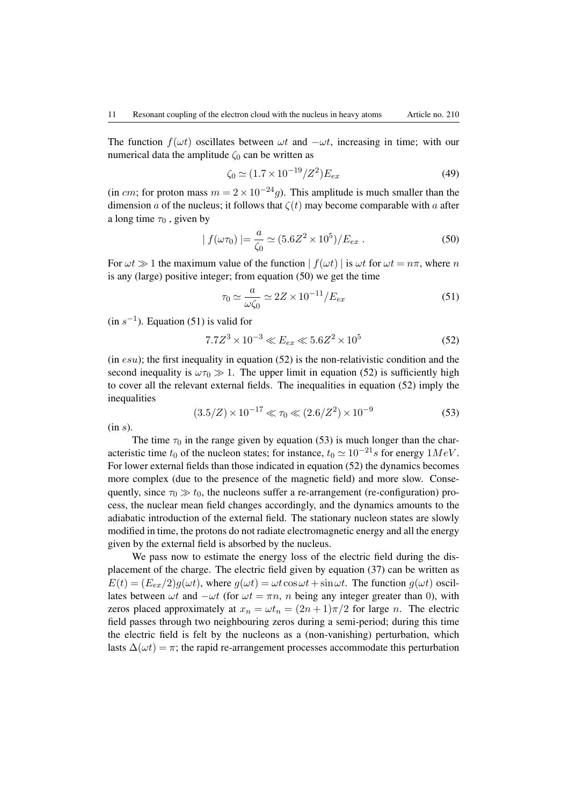The function  $f(\omega t)$  oscillates between  $\omega t$  and  $-\omega t$ , increasing in time; with our numerical data the amplitude  $\zeta_0$  can be written as

$$
\zeta_0 \simeq (1.7 \times 10^{-19} / Z^2) E_{ex} \tag{49}
$$

(in *cm*; for proton mass  $m = 2 \times 10^{-24}g$ ). This amplitude is much smaller than the dimension *a* of the nucleus; it follows that  $\zeta(t)$  may become comparable with *a* after a long time  $\tau_0$ , given by

$$
|f(\omega \tau_0)| = \frac{a}{\zeta_0} \simeq (5.6Z^2 \times 10^5)/E_{ex}
$$
. (50)

For  $\omega t \gg 1$  the maximum value of the function  $| f(\omega t) |$  is  $\omega t$  for  $\omega t = n\pi$ , where *n* is any (large) positive integer; from equation (50) we get the time

$$
\tau_0 \simeq \frac{a}{\omega \zeta_0} \simeq 2Z \times 10^{-11} / E_{ex} \tag{51}
$$

 $(in s<sup>-1</sup>)$ . Equation (51) is valid for

$$
7.7Z^3 \times 10^{-3} \ll E_{ex} \ll 5.6Z^2 \times 10^5 \tag{52}
$$

(in *esu*); the first inequality in equation (52) is the non-relativistic condition and the second inequality is  $\omega \tau_0 \gg 1$ . The upper limit in equation (52) is sufficiently high to cover all the relevant external fields. The inequalities in equation (52) imply the inequalities

$$
(3.5/Z) \times 10^{-17} \ll \tau_0 \ll (2.6/Z^2) \times 10^{-9}
$$
 (53)

(in *s*).

The time  $\tau_0$  in the range given by equation (53) is much longer than the characteristic time  $t_0$  of the nucleon states; for instance,  $t_0 \simeq 10^{-21} s$  for energy  $1 MeV$ . For lower external fields than those indicated in equation (52) the dynamics becomes more complex (due to the presence of the magnetic field) and more slow. Consequently, since  $\tau_0 \gg t_0$ , the nucleons suffer a re-arrangement (re-configuration) process, the nuclear mean field changes accordingly, and the dynamics amounts to the adiabatic introduction of the external field. The stationary nucleon states are slowly modified in time, the protons do not radiate electromagnetic energy and all the energy given by the external field is absorbed by the nucleus.

We pass now to estimate the energy loss of the electric field during the displacement of the charge. The electric field given by equation (37) can be written as  $E(t) = (E_{ex}/2)q(\omega t)$ , where  $q(\omega t) = \omega t \cos \omega t + \sin \omega t$ . The function  $q(\omega t)$  oscillates between  $\omega t$  and  $-\omega t$  (for  $\omega t = \pi n$ , *n* being any integer greater than 0), with zeros placed approximately at  $x_n = \omega t_n = (2n + 1)\pi/2$  for large *n*. The electric field passes through two neighbouring zeros during a semi-period; during this time the electric field is felt by the nucleons as a (non-vanishing) perturbation, which lasts  $\Delta(\omega t) = \pi$ ; the rapid re-arrangement processes accommodate this perturbation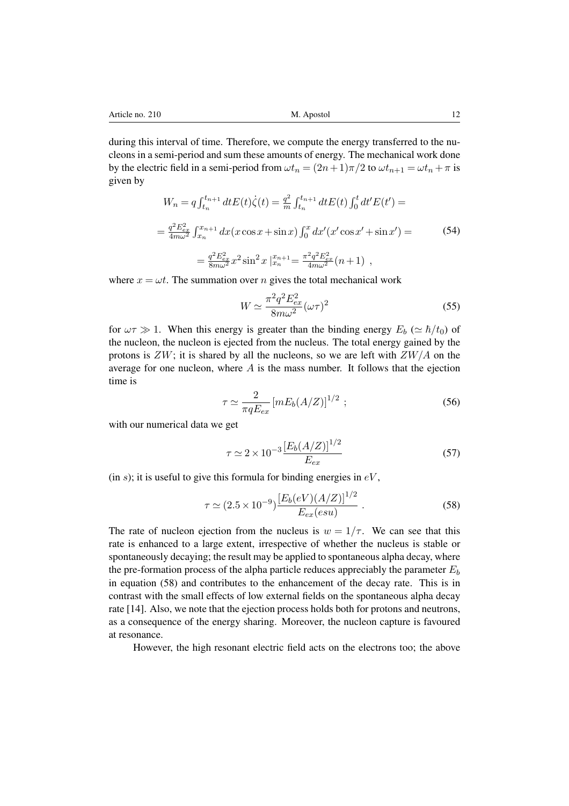during this interval of time. Therefore, we compute the energy transferred to the nucleons in a semi-period and sum these amounts of energy. The mechanical work done by the electric field in a semi-period from  $\omega t_n = (2n+1)\pi/2$  to  $\omega t_{n+1} = \omega t_n + \pi$  is given by

$$
W_n = q \int_{t_n}^{t_{n+1}} dt E(t) \dot{\zeta}(t) = \frac{q^2}{m} \int_{t_n}^{t_{n+1}} dt E(t) \int_0^t dt' E(t') =
$$
  

$$
= \frac{q^2 E_{ex}^2}{4m\omega^2} \int_{x_n}^{x_{n+1}} dx (x \cos x + \sin x) \int_0^x dx' (x' \cos x' + \sin x') =
$$
  

$$
= \frac{q^2 E_{ex}^2}{8m\omega^2} x^2 \sin^2 x \Big|_{x_n}^{x_{n+1}} = \frac{\pi^2 q^2 E_{ex}^2}{4m\omega^2} (n+1) ,
$$
 (54)

where  $x = \omega t$ . The summation over *n* gives the total mechanical work

$$
W \simeq \frac{\pi^2 q^2 E_{ex}^2}{8m\omega^2} (\omega \tau)^2 \tag{55}
$$

for  $\omega \tau \gg 1$ . When this energy is greater than the binding energy  $E_b \approx \hbar / t_0$  of the nucleon, the nucleon is ejected from the nucleus. The total energy gained by the protons is *ZW*; it is shared by all the nucleons, so we are left with *ZW/A* on the average for one nucleon, where *A* is the mass number. It follows that the ejection time is

$$
\tau \simeq \frac{2}{\pi q E_{ex}} \left[ m E_b (A/Z) \right]^{1/2} ; \qquad (56)
$$

with our numerical data we get

$$
\tau \simeq 2 \times 10^{-3} \frac{[E_b(A/Z)]^{1/2}}{E_{ex}} \tag{57}
$$

(in  $s$ ); it is useful to give this formula for binding energies in  $eV$ ,

$$
\tau \simeq (2.5 \times 10^{-9}) \frac{[E_b(eV)(A/Z)]^{1/2}}{E_{ex}(esu)} . \tag{58}
$$

The rate of nucleon ejection from the nucleus is  $w = 1/\tau$ . We can see that this rate is enhanced to a large extent, irrespective of whether the nucleus is stable or spontaneously decaying; the result may be applied to spontaneous alpha decay, where the pre-formation process of the alpha particle reduces appreciably the parameter *E<sup>b</sup>* in equation (58) and contributes to the enhancement of the decay rate. This is in contrast with the small effects of low external fields on the spontaneous alpha decay rate [14]. Also, we note that the ejection process holds both for protons and neutrons, as a consequence of the energy sharing. Moreover, the nucleon capture is favoured at resonance.

However, the high resonant electric field acts on the electrons too; the above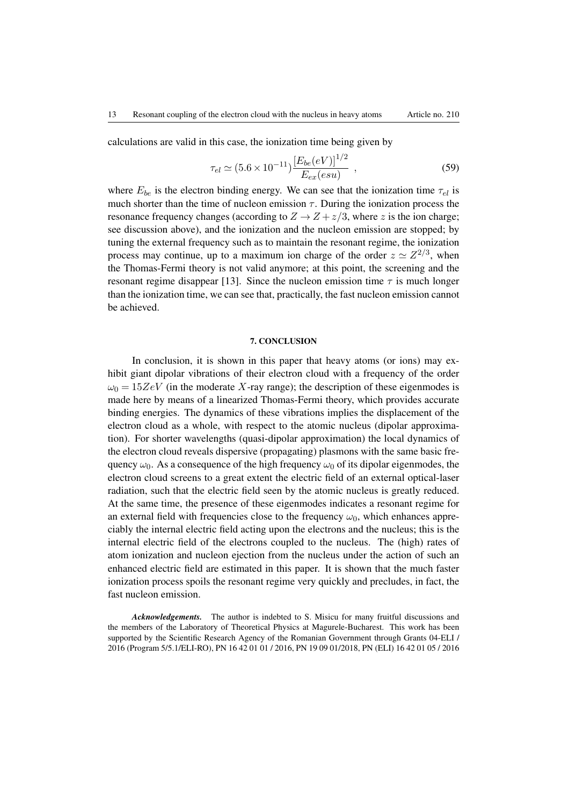calculations are valid in this case, the ionization time being given by

$$
\tau_{el} \simeq (5.6 \times 10^{-11}) \frac{[E_{be}(eV)]^{1/2}}{E_{ex}(esu)} , \qquad (59)
$$

where  $E_{be}$  is the electron binding energy. We can see that the ionization time  $\tau_{el}$  is much shorter than the time of nucleon emission  $\tau$ . During the ionization process the resonance frequency changes (according to  $Z \rightarrow Z + z/3$ , where *z* is the ion charge; see discussion above), and the ionization and the nucleon emission are stopped; by tuning the external frequency such as to maintain the resonant regime, the ionization process may continue, up to a maximum ion charge of the order  $z \approx Z^{2/3}$ , when the Thomas-Fermi theory is not valid anymore; at this point, the screening and the resonant regime disappear [13]. Since the nucleon emission time  $\tau$  is much longer than the ionization time, we can see that, practically, the fast nucleon emission cannot be achieved.

#### 7. CONCLUSION

In conclusion, it is shown in this paper that heavy atoms (or ions) may exhibit giant dipolar vibrations of their electron cloud with a frequency of the order  $\omega_0 = 15ZeV$  (in the moderate *X*-ray range); the description of these eigenmodes is made here by means of a linearized Thomas-Fermi theory, which provides accurate binding energies. The dynamics of these vibrations implies the displacement of the electron cloud as a whole, with respect to the atomic nucleus (dipolar approximation). For shorter wavelengths (quasi-dipolar approximation) the local dynamics of the electron cloud reveals dispersive (propagating) plasmons with the same basic frequency  $\omega_0$ . As a consequence of the high frequency  $\omega_0$  of its dipolar eigenmodes, the electron cloud screens to a great extent the electric field of an external optical-laser radiation, such that the electric field seen by the atomic nucleus is greatly reduced. At the same time, the presence of these eigenmodes indicates a resonant regime for an external field with frequencies close to the frequency  $\omega_0$ , which enhances appreciably the internal electric field acting upon the electrons and the nucleus; this is the internal electric field of the electrons coupled to the nucleus. The (high) rates of atom ionization and nucleon ejection from the nucleus under the action of such an enhanced electric field are estimated in this paper. It is shown that the much faster ionization process spoils the resonant regime very quickly and precludes, in fact, the fast nucleon emission.

*Acknowledgements.* The author is indebted to S. Misicu for many fruitful discussions and the members of the Laboratory of Theoretical Physics at Magurele-Bucharest. This work has been supported by the Scientific Research Agency of the Romanian Government through Grants 04-ELI / 2016 (Program 5/5.1/ELI-RO), PN 16 42 01 01 / 2016, PN 19 09 01/2018, PN (ELI) 16 42 01 05 / 2016